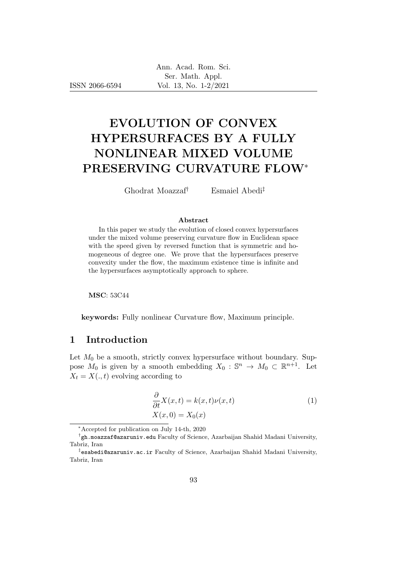ISSN 2066-6594

# EVOLUTION OF CONVEX HYPERSURFACES BY A FULLY NONLINEAR MIXED VOLUME PRESERVING CURVATURE FLOW<sup>∗</sup>

Ghodrat Moazzaf† Esmaiel Abedi‡

#### Abstract

In this paper we study the evolution of closed convex hypersurfaces under the mixed volume preserving curvature flow in Euclidean space with the speed given by reversed function that is symmetric and homogeneous of degree one. We prove that the hypersurfaces preserve convexity under the flow, the maximum existence time is infinite and the hypersurfaces asymptotically approach to sphere.

MSC: 53C44

keywords: Fully nonlinear Curvature flow, Maximum principle.

# 1 Introduction

Let  $M_0$  be a smooth, strictly convex hypersurface without boundary. Suppose  $M_0$  is given by a smooth embedding  $X_0 : \mathbb{S}^n \to M_0 \subset \mathbb{R}^{n+1}$ . Let  $X_t = X(., t)$  evolving according to

$$
\frac{\partial}{\partial t}X(x,t) = k(x,t)\nu(x,t)
$$
\n
$$
X(x,0) = X_0(x)
$$
\n(1)

<sup>∗</sup>Accepted for publication on July 14-th, 2020

 $^\dagger$ gh.moazzaf@azaruniv.edu Faculty of Science, Azarbaijan Shahid Madani University, Tabriz, Iran

<sup>‡</sup> esabedi@azaruniv.ac.ir Faculty of Science, Azarbaijan Shahid Madani University, Tabriz, Iran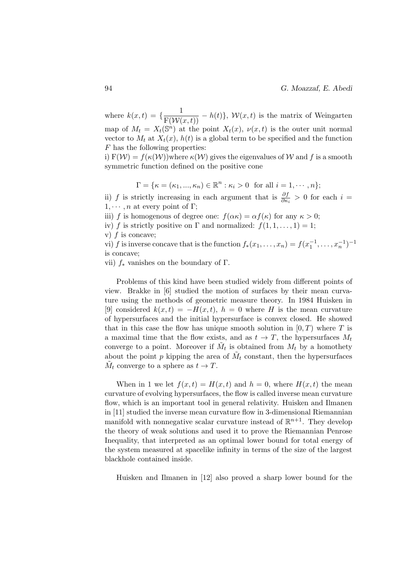94 G. Moazzaf, E. Abedi

where  $k(x,t) = \{\frac{1}{\mathrm{F}(\mathcal{W}(x,t))} - h(t)\}, \mathcal{W}(x,t)$  is the matrix of Weingarten map of  $M_t = X_t(\mathbb{S}^n)$  at the point  $X_t(x)$ ,  $\nu(x,t)$  is the outer unit normal vector to  $M_t$  at  $X_t(x)$ ,  $h(t)$  is a global term to be specified and the function F has the following properties:

i)  $F(W) = f(\kappa(W))$  where  $\kappa(W)$  gives the eigenvalues of W and f is a smooth symmetric function defined on the positive cone

$$
\Gamma = {\kappa = (\kappa_1, ..., \kappa_n) \in \mathbb{R}^n : \kappa_i > 0 \text{ for all } i = 1, ..., n};
$$

ii) f is strictly increasing in each argument that is  $\frac{\partial f}{\partial \kappa_i} > 0$  for each  $i =$  $1, \cdots, n$  at every point of Γ;

iii) f is homogenous of degree one:  $f(\alpha \kappa) = \alpha f(\kappa)$  for any  $\kappa > 0$ ;

iv) f is strictly positive on  $\Gamma$  and normalized:  $f(1, 1, \ldots, 1) = 1$ ;

v)  $f$  is concave;

vi) f is inverse concave that is the function  $f_*(x_1, \ldots, x_n) = f(x_1^{-1}, \ldots, x_n^{-1})^{-1}$ is concave;

vii)  $f_*$  vanishes on the boundary of  $\Gamma$ .

Problems of this kind have been studied widely from different points of view. Brakke in [6] studied the motion of surfaces by their mean curvature using the methods of geometric measure theory. In 1984 Huisken in [9] considered  $k(x,t) = -H(x,t)$ ,  $h = 0$  where H is the mean curvature of hypersurfaces and the initial hypersurface is convex closed. He showed that in this case the flow has unique smooth solution in  $[0, T)$  where T is a maximal time that the flow exists, and as  $t \to T$ , the hypersurfaces  $M_t$ converge to a point. Moreover if  $\tilde{M}_t$  is obtained from  $M_t$  by a homothety about the point p kipping the area of  $\tilde{M}_t$  constant, then the hypersurfaces  $\tilde{M}_t$  converge to a sphere as  $t \to T$ .

When in 1 we let  $f(x,t) = H(x,t)$  and  $h = 0$ , where  $H(x,t)$  the mean curvature of evolving hypersurfaces, the flow is called inverse mean curvature flow, which is an important tool in general relativity. Huisken and Ilmanen in [11] studied the inverse mean curvature flow in 3-dimensional Riemannian manifold with nonnegative scalar curvature instead of  $\mathbb{R}^{n+1}$ . They develop the theory of weak solutions and used it to prove the Riemannian Penrose Inequality, that interpreted as an optimal lower bound for total energy of the system measured at spacelike infinity in terms of the size of the largest blackhole contained inside.

Huisken and Ilmanen in [12] also proved a sharp lower bound for the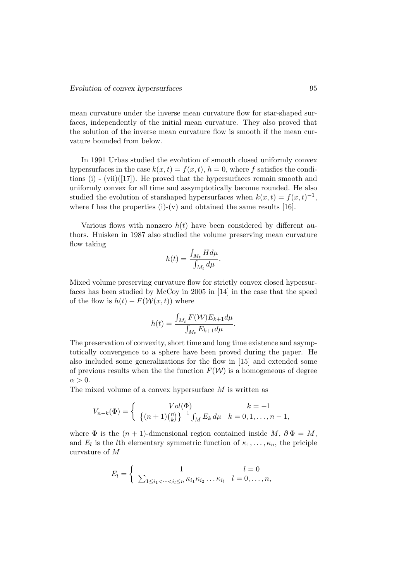mean curvature under the inverse mean curvature flow for star-shaped surfaces, independently of the initial mean curvature. They also proved that the solution of the inverse mean curvature flow is smooth if the mean curvature bounded from below.

In 1991 Urbas studied the evolution of smooth closed uniformly convex hypersurfaces in the case  $k(x, t) = f(x, t)$ ,  $h = 0$ , where f satisfies the conditions  $(i)$  - (vii)([17]). He proved that the hypersurfaces remain smooth and uniformly convex for all time and assymptotically become rounded. He also studied the evolution of starshaped hypersurfaces when  $k(x,t) = f(x,t)^{-1}$ , where f has the properties  $(i)-(v)$  and obtained the same results [16].

Various flows with nonzero  $h(t)$  have been considered by different authors. Huisken in 1987 also studied the volume preserving mean curvature flow taking

$$
h(t) = \frac{\int_{M_t} H d\mu}{\int_{M_t} d\mu}.
$$

Mixed volume preserving curvature flow for strictly convex closed hypersurfaces has been studied by McCoy in 2005 in [14] in the case that the speed of the flow is  $h(t) - F(\mathcal{W}(x,t))$  where

$$
h(t) = \frac{\int_{M_t} F(\mathcal{W}) E_{k+1} d\mu}{\int_{M_t} E_{k+1} d\mu}.
$$

The preservation of convexity, short time and long time existence and asymptotically convergence to a sphere have been proved during the paper. He also included some generalizations for the flow in [15] and extended some of previous results when the the function  $F(\mathcal{W})$  is a homogeneous of degree  $\alpha > 0$ .

The mixed volume of a convex hypersurface  $M$  is written as

$$
V_{n-k}(\Phi) = \begin{cases} Vol(\Phi) & k = -1 \\ \left\{ (n+1) {n \choose k} \right\}^{-1} \int_M E_k \, d\mu & k = 0, 1, \dots, n-1, \end{cases}
$$

where  $\Phi$  is the  $(n + 1)$ -dimensional region contained inside M,  $\partial \Phi = M$ , and  $E_l$  is the *l*th elementary symmetric function of  $\kappa_1, \ldots, \kappa_n$ , the priciple curvature of M

$$
E_l = \begin{cases} 1 & l = 0 \\ \sum_{1 \leq i_1 < \dots < i_l \leq n} \kappa_{i_1} \kappa_{i_2} \dots \kappa_{i_l} & l = 0, \dots, n, \end{cases}
$$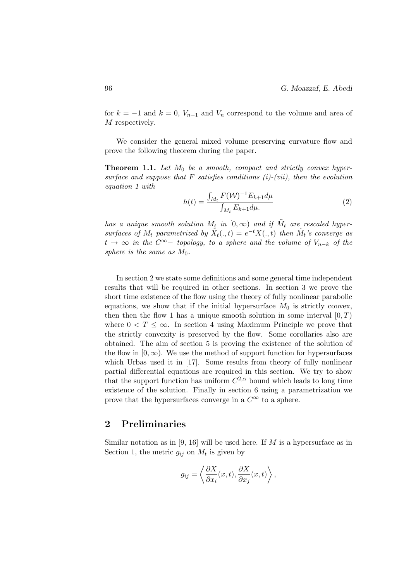for  $k = -1$  and  $k = 0$ ,  $V_{n-1}$  and  $V_n$  correspond to the volume and area of M respectively.

We consider the general mixed volume preserving curvature flow and prove the following theorem during the paper.

**Theorem 1.1.** Let  $M_0$  be a smooth, compact and strictly convex hypersurface and suppose that  $F$  satisfies conditions (i)-(vii), then the evolution equation 1 with

$$
h(t) = \frac{\int_{M_t} F(\mathcal{W})^{-1} E_{k+1} d\mu}{\int_{M_t} E_{k+1} d\mu} \tag{2}
$$

has a unique smooth solution  $M_t$  in  $[0, \infty)$  and if  $\tilde{M}_t$  are rescaled hypersurfaces of  $M_t$  parametrized by  $\tilde{X}_t(.,t) = e^{-t}X(.,t)$  then  $\tilde{M}_t$ 's converge as  $t \to \infty$  in the  $C^{\infty}$ - topology, to a sphere and the volume of  $V_{n-k}$  of the sphere is the same as  $M_0$ .

In section 2 we state some definitions and some general time independent results that will be required in other sections. In section 3 we prove the short time existence of the flow using the theory of fully nonlinear parabolic equations, we show that if the initial hypersurface  $M_0$  is strictly convex, then then the flow 1 has a unique smooth solution in some interval  $[0, T)$ where  $0 < T \leq \infty$ . In section 4 using Maximum Principle we prove that the strictly convexity is preserved by the flow. Some corollaries also are obtained. The aim of section 5 is proving the existence of the solution of the flow in  $[0, \infty)$ . We use the method of support function for hypersurfaces which Urbas used it in [17]. Some results from theory of fully nonlinear partial differential equations are required in this section. We try to show that the support function has uniform  $C^{2,\alpha}$  bound which leads to long time existence of the solution. Finally in section 6 using a parametrization we prove that the hypersurfaces converge in a  $C^{\infty}$  to a sphere.

#### 2 Preliminaries

Similar notation as in [9, 16] will be used here. If  $M$  is a hypersurface as in Section 1, the metric  $g_{ij}$  on  $M_t$  is given by

$$
g_{ij} = \left\langle \frac{\partial X}{\partial x_i}(x, t), \frac{\partial X}{\partial x_j}(x, t) \right\rangle,
$$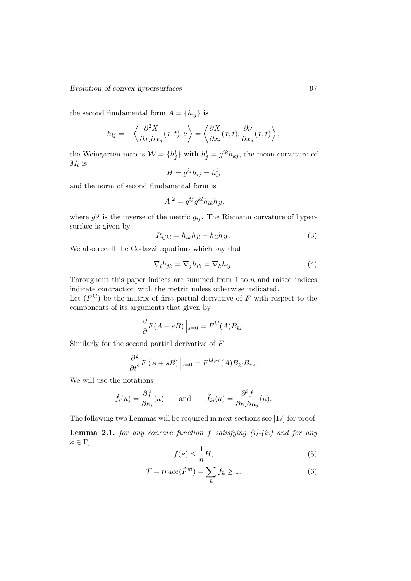#### Evolution of convex hypersurfaces 97

the second fundamental form  $A = \{h_{ij}\}\$ is

$$
h_{ij} = -\left\langle \frac{\partial^2 X}{\partial x_i \partial x_j}(x, t), \nu \right\rangle = \left\langle \frac{\partial X}{\partial x_i}(x, t), \frac{\partial \nu}{\partial x_j}(x, t) \right\rangle,
$$

the Weingarten map is  $W = \{h_j^i\}$  with  $h_j^i = g^{ik}h_{kj}$ , the mean curvature of  $M_t$  is

$$
H = g^{ij} h_{ij} = h_i^i,
$$

and the norm of second fundamental form is

$$
|A|^2 = g^{ij} g^{kl} h_{ik} h_{jl},
$$

where  $g^{ij}$  is the inverse of the metric  $g_{ij}$ . The Riemann curvature of hypersurface is given by

$$
R_{ijkl} = h_{ik}h_{jl} - h_{il}h_{jk}.
$$
\n(3)

We also recall the Codazzi equations which say that

$$
\nabla_i h_{jk} = \nabla_j h_{ik} = \nabla_k h_{ij}.
$$
\n(4)

Throughout this paper indices are summed from  $1$  to  $n$  and raised indices indicate contraction with the metric unless otherwise indicated.

Let  $(F^{kl})$  be the matrix of first partial derivative of F with respect to the components of its arguments that given by

$$
\frac{\partial}{\partial}F(A+sB)\Big|_{s=0} = \dot{F}^{kl}(A)B_{kl}.
$$

Similarly for the second partial derivative of F

$$
\frac{\partial^2}{\partial t^2} F(A + sB) \Big|_{s=0} = \ddot{F}^{kl,rs}(A) B_{kl} B_{rs}.
$$

We will use the notations

$$
\dot{f}_i(\kappa) = \frac{\partial f}{\partial \kappa_i}(\kappa)
$$
 and  $\ddot{f}_{ij}(\kappa) = \frac{\partial^2 f}{\partial \kappa_i \partial \kappa_j}(\kappa).$ 

The following two Lemmas will be required in next sections see [17] for proof.

**Lemma 2.1.** for any concave function f satisfying  $(i)$ - $(iv)$  and for any  $\kappa \in \Gamma$ ,

$$
f(\kappa) \le \frac{1}{n}H,\tag{5}
$$

$$
\mathcal{T} = trace(\dot{F}^{kl}) = \sum_{k} f_k \ge 1.
$$
\n(6)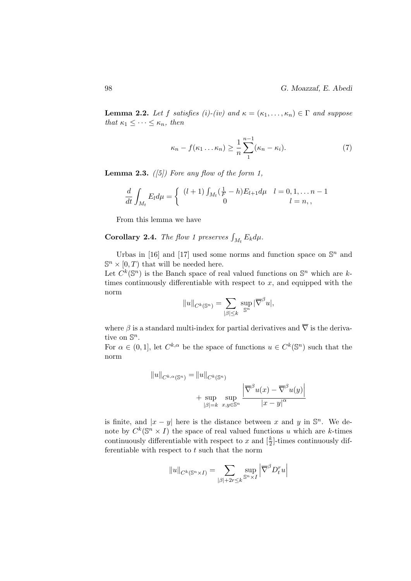**Lemma 2.2.** Let f satisfies (i)-(iv) and  $\kappa = (\kappa_1, \ldots, \kappa_n) \in \Gamma$  and suppose that  $\kappa_1 \leq \cdots \leq \kappa_n$ , then

$$
\kappa_n - f(\kappa_1 \dots \kappa_n) \ge \frac{1}{n} \sum_{1}^{n-1} (\kappa_n - \kappa_i). \tag{7}
$$

**Lemma 2.3.** ([5]) Fore any flow of the form 1,

$$
\frac{d}{dt} \int_{M_t} E_l d\mu = \begin{cases} (l+1) \int_{M_t} (\frac{1}{F} - h) E_{l+1} d\mu & l = 0, 1, \dots n-1 \\ 0 & l = n, \end{cases}
$$

From this lemma we have

**Corollary 2.4.** The flow 1 preserves  $\int_{M_t} E_k d\mu$ .

Urbas in [16] and [17] used some norms and function space on  $\mathbb{S}^n$  and  $\mathbb{S}^n \times [0, T)$  that will be needed here. Let  $\tilde{C}^k(\mathbb{S}^n)$  is the Banch space of real valued functions on  $\mathbb{S}^n$  which are ktimes continuously differentiable with respect to  $x$ , and equipped with the norm

$$
||u||_{C^k(\mathbb{S}^n)} = \sum_{|\beta| \leq k} \sup_{\mathbb{S}^n} |\overline{\nabla}^{\beta} u|,
$$

where  $\beta$  is a standard multi-index for partial derivatives and  $\overline{\nabla}$  is the derivative on  $\mathbb{S}^n$ .

For  $\alpha \in (0,1]$ , let  $C^{k,\alpha}$  be the space of functions  $u \in C^k(\mathbb{S}^n)$  such that the norm

$$
||u||_{C^{k,\alpha}(\mathbb{S}^n)} = ||u||_{C^k(\mathbb{S}^n)}
$$
  
+ 
$$
\sup_{|\beta|=k} \sup_{x,y \in \mathbb{S}^n} \frac{\left|\overline{\nabla}^{\beta} u(x) - \overline{\nabla}^{\beta} u(y)\right|}{|x - y|^{\alpha}}
$$

is finite, and  $|x - y|$  here is the distance between x and y in  $\mathbb{S}^n$ . We denote by  $C^k(\mathbb{S}^n \times I)$  the space of real valued functions u which are k-times continuously differentiable with respect to x and  $\left[\frac{k}{2}\right]$ -times continuously differentiable with respect to  $t$  such that the norm

$$
||u||_{C^k(\mathbb{S}^n \times I)} = \sum_{|\beta|+2r \leq k} \sup_{\mathbb{S}^n \times I} \left| \overline{\nabla}^{\beta} D^r_t u \right|
$$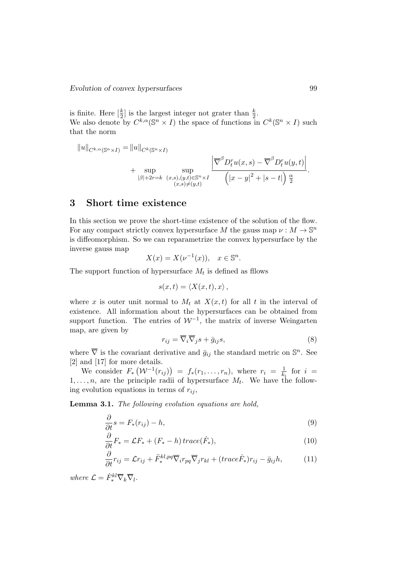is finite. Here  $\left[\frac{k}{2}\right]$  is the largest integer not grater than  $\frac{k}{2}$ . We also denote by  $C^{k,\alpha}(\mathbb{S}^n \times I)$  the space of functions in  $C^k(\mathbb{S}^n \times I)$  such that the norm

$$
||u||_{C^{k,\alpha}(\mathbb{S}^n \times I)} = ||u||_{C^k(\mathbb{S}^n \times I)}
$$
  
+ 
$$
\sup_{|\beta|+2r=k} \sup_{\substack{(x,s),(y,t)\in \mathbb{S}^n \times I \\ (x,s)\neq (y,t)}} \frac{\left|\overline{\nabla}^{\beta} D_t^r u(x,s)-\overline{\nabla}^{\beta} D_t^r u(y,t)\right|}{\left(|x-y|^2+|s-t|\right) \frac{\alpha}{2}}
$$

#### 3 Short time existence

In this section we prove the short-time existence of the solution of the flow. For any compact strictly convex hypersurface M the gauss map  $\nu : M \to \mathbb{S}^n$ is diffeomorphism. So we can reparametrize the convex hypersurface by the inverse gauss map

$$
X(x) = X(\nu^{-1}(x)), \quad x \in \mathbb{S}^n.
$$

The support function of hypersurface  $M_t$  is defined as filows

$$
s(x,t) = \langle X(x,t), x \rangle \, ,
$$

where x is outer unit normal to  $M_t$  at  $X(x, t)$  for all t in the interval of existence. All information about the hypersurfaces can be obtained from support function. The entries of  $\mathcal{W}^{-1}$ , the matrix of inverse Weingarten map, are given by

$$
r_{ij} = \overline{\nabla}_i \overline{\nabla}_j s + \bar{g}_{ij} s,\tag{8}
$$

where  $\overline{\nabla}$  is the covariant derivative and  $\overline{g}_{ij}$  the standard metric on  $\mathbb{S}^n$ . See [2] and [17] for more details.

We consider  $F_*(\mathcal{W}^{-1}(r_{ij})) = f_*(r_1,\ldots,r_n)$ , where  $r_i = \frac{1}{k}$  $\frac{1}{k_i}$  for  $i =$  $1, \ldots, n$ , are the principle radii of hypersurface  $M_t$ . We have the following evolution equations in terms of  $r_{ij}$ ,

Lemma 3.1. The following evolution equations are hold,

$$
\frac{\partial}{\partial t}s = F_*(r_{ij}) - h,\tag{9}
$$

$$
\frac{\partial}{\partial t}F_* = \mathcal{L}F_* + (F_* - h)\operatorname{trace}(\dot{F}_*),\tag{10}
$$

$$
\frac{\partial}{\partial t}r_{ij} = \mathcal{L}r_{ij} + \ddot{F}^{kl,pq}_{*} \overline{\nabla}_{i}r_{pq} \overline{\nabla}_{j}r_{kl} + (trace\dot{F}_{*})r_{ij} - \bar{g}_{ij}h, \tag{11}
$$

where  $\mathcal{L} = \dot{F}_*^{kl} \overline{\nabla}_k \overline{\nabla}_l$ .

.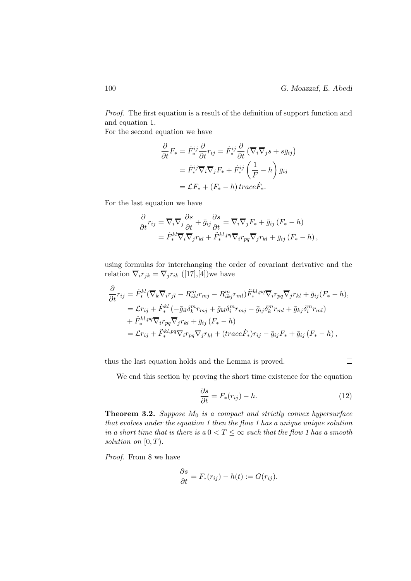Proof. The first equation is a result of the definition of support function and and equation 1.

For the second equation we have

$$
\frac{\partial}{\partial t} F_* = \dot{F}^{ij}_* \frac{\partial}{\partial t} r_{ij} = \dot{F}^{ij}_* \frac{\partial}{\partial t} (\overline{\nabla}_i \overline{\nabla}_j s + s \overline{g}_{ij})
$$

$$
= \dot{F}^{ij}_* \overline{\nabla}_i \overline{\nabla}_j F_* + \dot{F}^{ij}_* \left( \frac{1}{F} - h \right) \overline{g}_{ij}
$$

$$
= \mathcal{L} F_* + (F_* - h) \operatorname{trace} \dot{F}_*.
$$

For the last equation we have

$$
\frac{\partial}{\partial t}r_{ij} = \overline{\nabla}_i \overline{\nabla}_j \frac{\partial s}{\partial t} + \bar{g}_{ij} \frac{\partial s}{\partial t} = \overline{\nabla}_i \overline{\nabla}_j F_* + \bar{g}_{ij} (F_* - h)
$$
  
=  $\dot{F}^{kl}_* \overline{\nabla}_i \overline{\nabla}_j r_{kl} + \ddot{F}^{kl, pq}_* \overline{\nabla}_i r_{pq} \overline{\nabla}_j r_{kl} + \bar{g}_{ij} (F_* - h),$ 

using formulas for interchanging the order of covariant derivative and the relation  $\overline{\nabla}_i r_{jk} = \overline{\nabla}_j r_{ik}$  ([17],[4])we have

$$
\frac{\partial}{\partial t}r_{ij} = \dot{F}_*^{kl}(\overline{\nabla}_k \overline{\nabla}_i r_{jl} - R_{ikl}^m r_{mj} - R_{ikj}^m r_{ml}) \dot{F}_*^{kl, pq} \overline{\nabla}_i r_{pq} \overline{\nabla}_j r_{kl} + \bar{g}_{ij} (F_* - h),
$$
\n
$$
= \mathcal{L}r_{ij} + \dot{F}_*^{kl} (-\bar{g}_{il} \delta_k^m r_{mj} + \bar{g}_{kl} \delta_i^m r_{mj} - \bar{g}_{ij} \delta_k^m r_{ml} + \bar{g}_{kj} \delta_i^m r_{ml})
$$
\n
$$
+ \ddot{F}_*^{kl, pq} \overline{\nabla}_i r_{pq} \overline{\nabla}_j r_{kl} + \bar{g}_{ij} (F_* - h)
$$
\n
$$
= \mathcal{L}r_{ij} + \ddot{F}_*^{kl, pq} \overline{\nabla}_i r_{pq} \overline{\nabla}_j r_{kl} + (trace \dot{F}_*) r_{ij} - \bar{g}_{ij} F_* + \bar{g}_{ij} (F_* - h),
$$

thus the last equation holds and the Lemma is proved.

 $\Box$ 

We end this section by proving the short time existence for the equation

$$
\frac{\partial s}{\partial t} = F_*(r_{ij}) - h. \tag{12}
$$

**Theorem 3.2.** Suppose  $M_0$  is a compact and strictly convex hypersurface that evolves under the equation 1 then the flow 1 has a unique unique solution in a short time that is there is a  $0 < T \leq \infty$  such that the flow 1 has a smooth solution on  $[0, T)$ .

Proof. From 8 we have

$$
\frac{\partial s}{\partial t} = F_*(r_{ij}) - h(t) := G(r_{ij}).
$$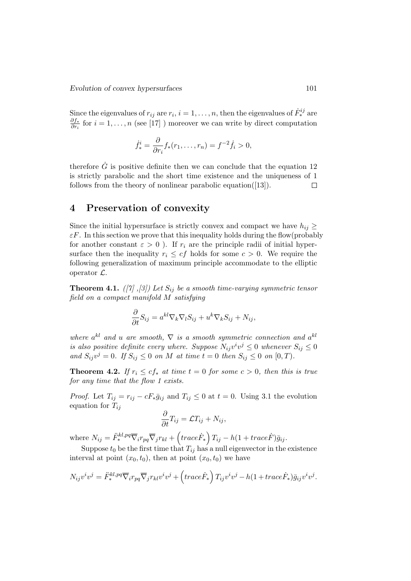Since the eigenvalues of  $r_{ij}$  are  $r_i$ ,  $i = 1, ..., n$ , then the eigenvalues of  $\dot{F}^{ij}_*$  are ∂f∗  $\frac{\partial J_{*}}{\partial r_{i}}$  for  $i = 1, ..., n$  (see [17]) moreover we can write by direct computation

$$
\dot{f}^i_* = \frac{\partial}{\partial r_i} f_*(r_1, \dots, r_n) = f^{-2} \dot{f}_i > 0,
$$

therefore  $\dot{G}$  is positive definite then we can conclude that the equation 12 is strictly parabolic and the short time existence and the uniqueness of 1 follows from the theory of nonlinear parabolic equation([13]).  $\Box$ 

# 4 Preservation of convexity

Since the initial hypersurface is strictly convex and compact we have  $h_{ij} \geq$  $\varepsilon$ F. In this section we prove that this inequality holds during the flow(probably for another constant  $\varepsilon > 0$ ). If  $r_i$  are the principle radii of initial hypersurface then the inequality  $r_i \leq cf$  holds for some  $c > 0$ . We require the following generalization of maximum principle accommodate to the elliptic operator  $\mathcal{L}$ .

**Theorem 4.1.** ([7] ,[3]) Let  $S_{ij}$  be a smooth time-varying symmetric tensor field on a compact manifold M satisfying

$$
\frac{\partial}{\partial t} S_{ij} = a^{kl} \nabla_k \nabla_l S_{ij} + u^k \nabla_k S_{ij} + N_{ij},
$$

where  $a^{kl}$  and u are smooth,  $\nabla$  is a smooth symmetric connection and  $a^{kl}$ is also positive definite every where. Suppose  $N_{ij}v^iv^j \leq 0$  whenever  $S_{ij} \leq 0$ and  $S_{ij}v^j = 0$ . If  $S_{ij} \leq 0$  on M at time  $t = 0$  then  $S_{ij} \leq 0$  on  $[0, T)$ .

**Theorem 4.2.** If  $r_i \leq cf_*$  at time  $t = 0$  for some  $c > 0$ , then this is true for any time that the flow 1 exists.

*Proof.* Let  $T_{ij} = r_{ij} - cF_*\bar{g}_{ij}$  and  $T_{ij} \leq 0$  at  $t = 0$ . Using 3.1 the evolution equation for  $T_{ij}$ 

$$
\frac{\partial}{\partial t}T_{ij} = \mathcal{L}T_{ij} + N_{ij},
$$

where  $N_{ij} = \ddot{F}_*^{kl, pq} \overline{\nabla}_i r_{pq} \overline{\nabla}_j r_{kl} + \left( trace \dot{F}_* \right) T_{ij} - h(1 + trace \dot{F}) \overline{g}_{ij}.$ 

Suppose  $t_0$  be the first time that  $T_{ij}$  has a null eigenvector in the existence interval at point  $(x_0, t_0)$ , then at point  $(x_0, t_0)$  we have

$$
N_{ij}v^iv^j = \ddot{F}_*^{kl,pq} \overline{\nabla}_i r_{pq} \overline{\nabla}_j r_{kl} v^i v^j + \left( \operatorname{trace} \dot{F}_* \right) T_{ij} v^i v^j - h(1 + \operatorname{trace} \dot{F}_*) \overline{g}_{ij} v^i v^j.
$$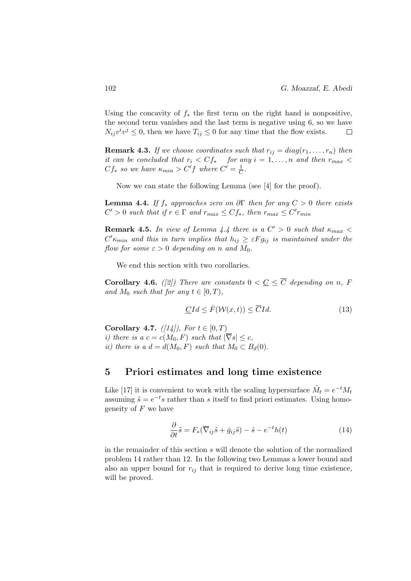Using the concavity of  $f_*$  the first term on the right hand is nonpositive, the second term vanishes and the last term is negative using 6, so we have  $N_{ij}v^iv^j \leq 0$ , then we have  $T_{ij} \leq 0$  for any time that the flow exists.  $\Box$ 

**Remark 4.3.** If we choose coordinates such that  $r_{ij} = diag(r_1, \ldots, r_n)$  then it can be concluded that  $r_i < C f_*$  for any  $i = 1, \ldots, n$  and then  $r_{max} <$  $Cf_*$  so we have  $\kappa_{min} > C'f$  where  $C' = \frac{1}{C}$  $\frac{1}{C}$ .

Now we can state the following Lemma (see [4] for the proof).

**Lemma 4.4.** If  $f_*$  approaches zero on  $\partial \Gamma$  then for any  $C > 0$  there exists  $C' > 0$  such that if  $r \in \Gamma$  and  $r_{max} \leq C f_*$ , then  $r_{max} \leq C' r_{min}$ 

**Remark 4.5.** In view of Lemma 4.4 there is a  $C' > 0$  such that  $\kappa_{max}$  $C' \kappa_{min}$  and this in turn implies that  $h_{ij} \geq \varepsilon F g_{ij}$  is maintained under the flow for some  $\varepsilon > 0$  depending on n and  $M_0$ .

We end this section with two corollaries.

**Corollary 4.6.** ([2]) There are constants  $0 < \underline{C} \leq \overline{C}$  depending on n, F and  $M_0$  such that for any  $t \in [0, T)$ ,

$$
\underline{C}Id \leq \dot{F}(\mathcal{W}(x,t)) \leq \overline{C}Id. \tag{13}
$$

Corollary 4.7.  $(|14|)$ , For  $t \in [0, T)$ i) there is a  $c = c(M_0, F)$  such that  $|\overline{\nabla}s| \leq c$ , ii) there is a  $d = d(M_0, F)$  such that  $M_0 \subset B_d(0)$ .

#### 5 Priori estimates and long time existence

Like [17] it is convenient to work with the scaling hypersurface  $\tilde{M}_t = e^{-t} M_t$ assuming  $\tilde{s} = e^{-t} s$  rather than s itself to find priori estimates. Using homogeneity of  $F$  we have

$$
\frac{\partial}{\partial t}\tilde{s} = F_*(\overline{\nabla}_{ij}\tilde{s} + \bar{g}_{ij}\tilde{s}) - \tilde{s} - e^{-t}h(t)
$$
\n(14)

in the remainder of this section s will denote the solution of the normalized problem 14 rather than 12. In the following two Lemmas a lower bound and also an upper bound for  $r_{ij}$  that is required to derive long time existence, will be proved.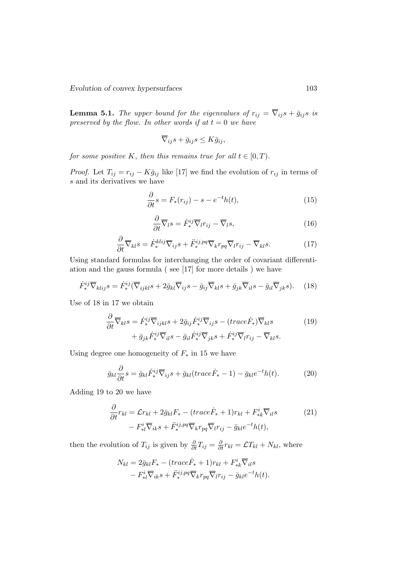Evolution of convex hypersurfaces 103

**Lemma 5.1.** The upper bound for the eigenvalues of  $r_{ij} = \overline{\nabla}_{ij} s + \overline{g}_{ij} s$  is preserved by the flow. In other words if at  $t = 0$  we have

$$
\overline{\nabla}_{ij}s + \overline{g}_{ij}s \leq K\overline{g}_{ij},
$$

for some positive K, then this remains true for all  $t \in [0, T)$ .

*Proof.* Let  $T_{ij} = r_{ij} - K\bar{g}_{ij}$  like [17] we find the evolution of  $r_{ij}$  in terms of s and its derivatives we have

$$
\frac{\partial}{\partial t}s = F_*(r_{ij}) - s - e^{-t}h(t),\tag{15}
$$

$$
\frac{\partial}{\partial t}\overline{\nabla}_l s = \dot{F}_*^{ij}\overline{\nabla}_l r_{ij} - \overline{\nabla}_l s,\tag{16}
$$

$$
\frac{\partial}{\partial t}\overline{\nabla}_{kl}s = \dot{F}^{klij}_{*}\overline{\nabla}_{ij}s + \ddot{F}^{ij,pq}_{*}\overline{\nabla}_{krpq}\overline{\nabla}_{l}r_{ij} - \overline{\nabla}_{kl}s. \tag{17}
$$

Using standard formulas for interchanging the order of covariant differentiation and the gauss formula ( see [17] for more details ) we have

$$
\dot{F}^{ij}_{*}\overline{\nabla}_{klij}s = \dot{F}^{ij}_{*}(\overline{\nabla}_{ijkl}s + 2\overline{g}_{kl}\overline{\nabla}_{ij}s - \overline{g}_{ij}\overline{\nabla}_{kl}s + \overline{g}_{jk}\overline{\nabla}_{il}s - \overline{g}_{il}\overline{\nabla}_{jk}s). \quad (18)
$$

Use of 18 in 17 we obtain

$$
\frac{\partial}{\partial t} \overline{\nabla}_{kl} s = \dot{F}_*^{ij} \overline{\nabla}_{ijkl} s + 2 \bar{g}_{ij} \dot{F}_*^{ij} \overline{\nabla}_{ij} s - (trace \dot{F}_*) \overline{\nabla}_{kl} s \n+ \bar{g}_{jk} \dot{F}_*^{ij} \overline{\nabla}_{il} s - \bar{g}_{il} \dot{F}_*^{ij} \overline{\nabla}_{jk} s + \dot{F}_*^{ij} \overline{\nabla}_{l} r_{ij} - \overline{\nabla}_{kl} s.
$$
\n(19)

Using degree one homogeneity of  $F_*$  in 15 we have

$$
\bar{g}_{kl}\frac{\partial}{\partial t}s = \bar{g}_{kl}\dot{F}^{ij}_{*}\overline{\nabla}_{ij}s + \bar{g}_{kl}(trace\dot{F}_{*}-1) - \bar{g}_{kl}e^{-t}h(t). \tag{20}
$$

Adding 19 to 20 we have

$$
\frac{\partial}{\partial t}r_{kl} = \mathcal{L}r_{kl} + 2\bar{g}_{kl}F_* - (trace\dot{F}_* + 1)r_{kl} + F^i_{*k}\overline{\nabla}_{il}s
$$
\n
$$
- F^i_{*l}\overline{\nabla}_{ik}s + \ddot{F}^{ij,pq}_{*}\overline{\nabla}_{k}r_{pq}\overline{\nabla}_{l}r_{ij} - \bar{g}_{kl}e^{-t}h(t),
$$
\n(21)

then the evolution of  $T_{ij}$  is given by  $\frac{\partial}{\partial t}T_{ij} = \frac{\partial}{\partial t}r_{kl} = \mathcal{L}T_{kl} + N_{kl}$ , where

$$
N_{kl} = 2\bar{g}_{kl}F_{*} - (trace\dot{F}_{*} + 1)r_{kl} + F_{*k}^{i}\overline{\nabla}_{il}s
$$

$$
- F_{*l}^{i}\overline{\nabla}_{ik}s + \ddot{F}_{*}^{ij,pq}\overline{\nabla}_{k}r_{pq}\overline{\nabla}_{l}r_{ij} - \bar{g}_{kl}e^{-t}h(t).
$$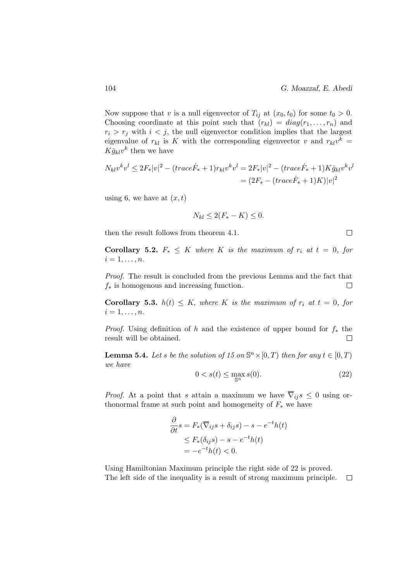Now suppose that v is a null eigenvector of  $T_{ij}$  at  $(x_0, t_0)$  for some  $t_0 > 0$ . Choosing coordinate at this point such that  $(r_{kl}) = diag(r_1, \ldots, r_n)$  and  $r_i > r_j$  with  $i < j$ , the null eigenvector condition implies that the largest eigenvalue of  $r_{kl}$  is K with the corresponding eigenvector v and  $r_{kl}v^k =$  $K \bar{g}_{kl} v^k$  then we have

$$
N_{kl}v^kv^l \le 2F_*|v|^2 - (trace\dot{F}_* + 1)r_{kl}v^kv^l = 2F_*|v|^2 - (trace\dot{F}_* + 1)K\bar{g}_{kl}v^kv^l
$$
  
=  $(2F_* - (trace\dot{F}_* + 1)K)|v|^2$ 

using 6, we have at  $(x, t)$ 

$$
N_{kl} \le 2(F_* - K) \le 0.
$$

then the result follows from theorem 4.1.

**Corollary 5.2.**  $F_* \leq K$  where K is the maximum of  $r_i$  at  $t = 0$ , for  $i=1,\ldots,n$ .

Proof. The result is concluded from the previous Lemma and the fact that  $f_*$  is homogenous and increasing function.  $\Box$ 

**Corollary 5.3.**  $h(t) \leq K$ , where K is the maximum of  $r_i$  at  $t = 0$ , for  $i=1,\ldots,n$ .

*Proof.* Using definition of h and the existence of upper bound for  $f_*$  the result will be obtained.  $\Box$ 

**Lemma 5.4.** Let s be the solution of 15 on  $\mathbb{S}^n \times [0, T)$  then for any  $t \in [0, T)$ we have

$$
0 < s(t) \le \max_{\mathbb{S}^n} s(0). \tag{22}
$$

*Proof.* At a point that s attain a maximum we have  $\overline{\nabla}_{ij} s \leq 0$  using orthonormal frame at such point and homogeneity of  $F_*$  we have

$$
\frac{\partial}{\partial t}s = F_*(\overline{\nabla}_{ij}s + \delta_{ij}s) - s - e^{-t}h(t)
$$
  
\n
$$
\leq F_*(\delta_{ij}s) - s - e^{-t}h(t)
$$
  
\n
$$
= -e^{-t}h(t) < 0.
$$

Using Hamiltonian Maximum principle the right side of 22 is proved. The left side of the inequality is a result of strong maximum principle. $\Box$ 

 $\Box$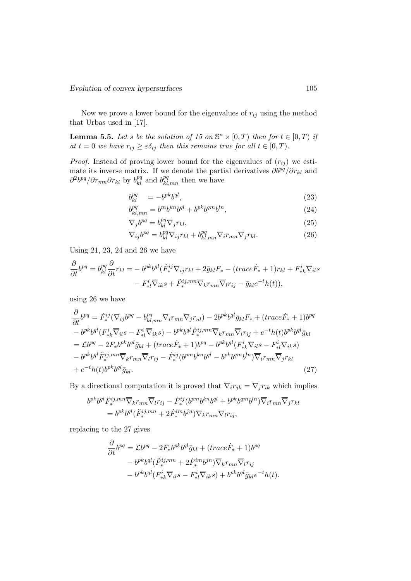Now we prove a lower bound for the eigenvalues of  $r_{ij}$  using the method that Urbas used in [17].

**Lemma 5.5.** Let s be the solution of 15 on  $\mathbb{S}^n \times [0,T)$  then for  $t \in [0,T)$  if at  $t = 0$  we have  $r_{ij} \geq \varepsilon \delta_{ij}$  then this remains true for all  $t \in [0, T)$ .

*Proof.* Instead of proving lower bound for the eigenvalues of  $(r_{ij})$  we estimate its inverse matrix. If we denote the partial derivatives  $\partial b^{pq}/\partial r_{kl}$  and  $\partial^2 b^{pq} / \partial r_{mn} \partial r_{kl}$  by  $b^{pq}_{kl}$  and  $b^{pq}_{kl,mn}$  then we have

$$
b_{kl}^{pq} = -b^{pk}b^{ql},\tag{23}
$$

$$
b_{kl,mn}^{pq} = b^m b^{kn} b^{ql} + b^{pk} b^{qm} b^{ln},
$$
\n(24)

$$
\overline{\nabla}_j b^{pq} = b_{kl}^{pq} \overline{\nabla}_j r_{kl},\tag{25}
$$

$$
\overline{\nabla}_{ij}b^{pq} = b^{pq}_{kl}\overline{\nabla}_{ij}r_{kl} + b^{pq}_{kl,mn}\overline{\nabla}_{i}r_{mn}\overline{\nabla}_{j}r_{kl}.
$$
\n(26)

Using 21, 23, 24 and 26 we have

$$
\frac{\partial}{\partial t}b^{pq} = b_{kl}^{pq} \frac{\partial}{\partial t} r_{kl} = -b^{pk}b^{ql}(\dot{F}^{ij}_{*}\overline{\nabla}_{ij}r_{kl} + 2\bar{g}_{kl}F_{*} - (trace\dot{F}_{*} + 1)r_{kl} + F^{i}_{*k}\overline{\nabla}_{il}s
$$

$$
-F^{i}_{*l}\overline{\nabla}_{ik}s + \ddot{F}^{ij,mn}_{*}\overline{\nabla}_{k}r_{mn}\overline{\nabla}_{l}r_{ij} - \bar{g}_{kl}e^{-t}h(t)),
$$

using 26 we have

$$
\frac{\partial}{\partial t}b^{pq} = \dot{F}^{ij}_{*}(\overline{\nabla}_{ij}b^{pq} - b^{pq}_{kl,mn}\overline{\nabla}_{i}r_{mn}\overline{\nabla}_{j}r_{nl}) - 2b^{pk}b^{ql}\overline{g}_{kl}F_{*} + (trace\dot{F}_{*} + 1)b^{pq}
$$
\n
$$
-b^{pk}b^{ql}(F^{i}_{*k}\overline{\nabla}_{il}s - F^{i}_{*l}\overline{\nabla}_{ik}s) - b^{pk}b^{ql}\ddot{F}^{ij,mn}_{*}\overline{\nabla}_{k}r_{mn}\overline{\nabla}_{l}r_{ij} + e^{-t}h(t)b^{pk}b^{ql}\overline{g}_{kl}
$$
\n
$$
= \mathcal{L}b^{pq} - 2F_{*}b^{pk}b^{ql}\overline{g}_{kl} + (trace\dot{F}_{*} + 1)b^{pq} - b^{pk}b^{ql}(F^{i}_{*k}\overline{\nabla}_{il}s - F^{i}_{*l}\overline{\nabla}_{ik}s)
$$
\n
$$
-b^{pk}b^{ql}\ddot{F}^{ij,mn}_{*}\overline{\nabla}_{k}r_{mn}\overline{\nabla}_{l}r_{ij} - \dot{F}^{ij}_{*}(b^{pm}b^{kl} - b^{pk}b^{qm}b^{ln})\overline{\nabla}_{i}r_{mn}\overline{\nabla}_{j}r_{kl}
$$
\n
$$
+ e^{-t}h(t)b^{pk}b^{ql}\overline{g}_{kl}.
$$
\n(27)

By a directional computation it is proved that  $\overline{\nabla}_ir_{jk} = \overline{\nabla}_jr_{ik}$  which implies

$$
\begin{split} b^{pk}b^{ql}\ddot{F}^{ij,mn}_{*}\overline{\nabla}_{k}r_{mn}\overline{\nabla}_{l}r_{ij} &- \dot{F}^{ij}_{*}(b^{pm}b^{kn}b^{ql} + b^{pk}b^{qm}b^{ln})\overline{\nabla}_{i}r_{mn}\overline{\nabla}_{j}r_{kl} \\ &= b^{pk}b^{ql}(\ddot{F}^{ij,mn}_{*} + 2\dot{F}^{im}_{*}b^{jn})\overline{\nabla}_{k}r_{mn}\overline{\nabla}_{l}r_{ij}, \end{split}
$$

replacing to the 27 gives

$$
\frac{\partial}{\partial t}b^{pq} = \mathcal{L}b^{pq} - 2F_*b^{pk}b^{ql}\bar{g}_{kl} + (trace\dot{F}_* + 1)b^{pq}
$$

$$
- b^{pk}b^{ql}(\ddot{F}_*^{ij,mn} + 2\dot{F}_*^{im}b^{jn})\overline{\nabla}_k r_{mn}\overline{\nabla}_l r_{ij}
$$

$$
- b^{pk}b^{ql}(F^i_{*k}\overline{\nabla}_{il}s - F^i_{*l}\overline{\nabla}_{ik}s) + b^{pk}b^{ql}\bar{g}_{kl}e^{-t}h(t).
$$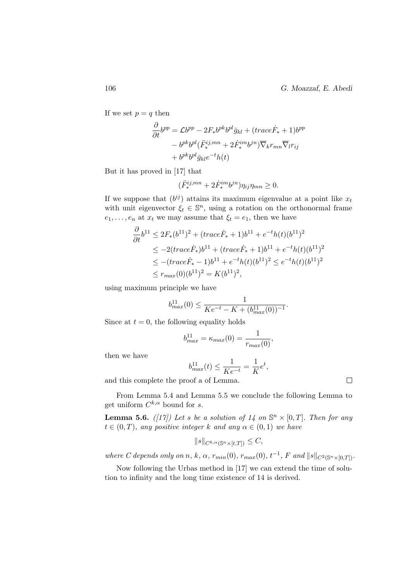If we set  $p = q$  then

$$
\frac{\partial}{\partial t}b^{pp} = \mathcal{L}b^{pp} - 2F_*b^{pk}b^{pl}\bar{g}_{kl} + (trace\dot{F}_* + 1)b^{pp}
$$

$$
-b^{pk}b^{pl}(\ddot{F}_*^{ij,mn} + 2\dot{F}_*^{im}b^{jn})\overline{\nabla}_k r_{mn}\overline{\nabla}_l r_{ij}
$$

$$
+b^{pk}b^{pl}\bar{g}_{kl}e^{-t}h(t)
$$

But it has proved in [17] that

$$
(\ddot{F}_*^{ij,mn} + 2\dot{F}_*^{im}b^{jn})\eta_{ij}\eta_{mn} \ge 0.
$$

If we suppose that  $(b^{ij})$  attains its maximum eigenvalue at a point like  $x_t$ with unit eigenvector  $\xi_t \in \mathbb{S}^n$ , using a rotation on the orthonormal frame  $e_1, \ldots, e_n$  at  $x_t$  we may assume that  $\xi_t = e_1$ , then we have

$$
\frac{\partial}{\partial t}b^{11} \le 2F_*(b^{11})^2 + (trace\dot{F}_* + 1)b^{11} + e^{-t}h(t)(b^{11})^2
$$
  
\n
$$
\le -2(trace\dot{F}_*)b^{11} + (trace\dot{F}_* + 1)b^{11} + e^{-t}h(t)(b^{11})^2
$$
  
\n
$$
\le -(trace\dot{F}_* - 1)b^{11} + e^{-t}h(t)(b^{11})^2 \le e^{-t}h(t)(b^{11})^2
$$
  
\n
$$
\le r_{max}(0)(b^{11})^2 = K(b^{11})^2,
$$

using maximum principle we have

$$
b_{max}^{11}(0) \le \frac{1}{Ke^{-t} - K + (b_{max}^{11}(0))^{-1}}.
$$

Since at  $t = 0$ , the following equality holds

$$
b_{max}^{11} = \kappa_{max}(0) = \frac{1}{r_{max}(0)},
$$

then we have

$$
b_{max}^{11}(t) \le \frac{1}{Ke^{-t}} = \frac{1}{K}e^t,
$$

and this complete the proof a of Lemma.

From Lemma 5.4 and Lemma 5.5 we conclude the following Lemma to get uniform  $C^{k,\alpha}$  bound for s.

**Lemma 5.6.** ([17]) Let s be a solution of 14 on  $\mathbb{S}^n \times [0,T]$ . Then for any  $t \in (0, T)$ , any positive integer k and any  $\alpha \in (0, 1)$  we have

$$
||s||_{C^{k,\alpha}(\mathbb{S}^n\times[t,T])}\leq C,
$$

where C depends only on n, k,  $\alpha$ ,  $r_{min}(0)$ ,  $r_{max}(0)$ ,  $t^{-1}$ , F and  $||s||_{C^{2}(\mathbb{S}^{n}\times[0,T])}$ .

Now following the Urbas method in [17] we can extend the time of solution to infinity and the long time existence of 14 is derived.

 $\Box$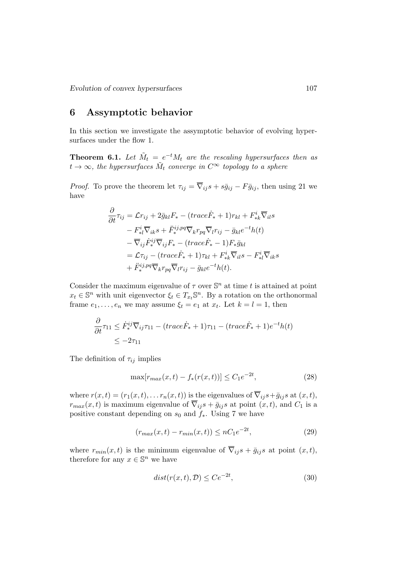# 6 Assymptotic behavior

In this section we investigate the assymptotic behavior of evolving hypersurfaces under the flow 1.

**Theorem 6.1.** Let  $\tilde{M}_t = e^{-t} M_t$  are the rescaling hypersurfaces then as  $t\rightarrow\infty,$  the hypersurfaces  $\tilde{M}_t$  converge in  $C^\infty$  topology to a sphere

*Proof.* To prove the theorem let  $\tau_{ij} = \overline{\nabla}_{ij} s + s\overline{g}_{ij} - F\overline{g}_{ij}$ , then using 21 we have

$$
\frac{\partial}{\partial t}\tau_{ij} = \mathcal{L}r_{ij} + 2\bar{g}_{kl}F_{*} - (trace\dot{F}_{*} + 1)r_{kl} + F_{*k}^{i}\overline{\nabla}_{il}s \n- F_{*l}^{i}\overline{\nabla}_{ik}s + \ddot{F}_{*}^{i j,pq}\overline{\nabla}_{k}r_{pq}\overline{\nabla}_{l}r_{ij} - \bar{g}_{kl}e^{-t}h(t) \n- \overline{\nabla}_{ij}\dot{F}_{*}^{ij}\overline{\nabla}_{ij}F_{*} - (trace\dot{F}_{*} - 1)F_{*}\bar{g}_{kl} \n= \mathcal{L}\tau_{ij} - (trace\dot{F}_{*} + 1)\tau_{kl} + F_{*k}^{i}\overline{\nabla}_{il}s - F_{*l}^{i}\overline{\nabla}_{ik}s \n+ \ddot{F}_{*}^{i j,pq}\overline{\nabla}_{k}r_{pq}\overline{\nabla}_{l}r_{ij} - \bar{g}_{kl}e^{-t}h(t).
$$

Consider the maximum eigenvalue of  $\tau$  over  $\mathbb{S}^n$  at time t is attained at point  $x_t \in \mathbb{S}^n$  with unit eigenvector  $\xi_t \in T_{x_t} \mathbb{S}^n$ . By a rotation on the orthonormal frame  $e_1, \ldots, e_n$  we may assume  $\xi_t = e_1$  at  $x_t$ . Let  $k = l = 1$ , then

$$
\frac{\partial}{\partial t}\tau_{11} \leq \dot{F}_{*}^{ij}\overline{\nabla}_{ij}\tau_{11} - (trace\dot{F}_{*} + 1)\tau_{11} - (trace\dot{F}_{*} + 1)e^{-t}h(t) \leq -2\tau_{11}
$$

The definition of  $\tau_{ij}$  implies

$$
\max[r_{max}(x,t) - f_*(r(x,t))] \le C_1 e^{-2t},\tag{28}
$$

where  $r(x, t) = (r_1(x, t), \dots r_n(x, t))$  is the eigenvalues of  $\overline{\nabla}_{ij} s + \overline{g}_{ij} s$  at  $(x, t)$ ,  $r_{max}(x, t)$  is maximum eigenvalue of  $\overline{\nabla}_{ij}s + \overline{g}_{ij}s$  at point  $(x, t)$ , and  $C_1$  is a positive constant depending on  $s_0$  and  $f_*$ . Using 7 we have

$$
(r_{max}(x,t) - r_{min}(x,t)) \le nC_1e^{-2t},\tag{29}
$$

where  $r_{min}(x, t)$  is the minimum eigenvalue of  $\overline{\nabla}_{ij}s + \overline{g}_{ij}s$  at point  $(x, t)$ , therefore for any  $x \in \mathbb{S}^n$  we have

$$
dist(r(x,t), \mathcal{D}) \le Ce^{-2t},\tag{30}
$$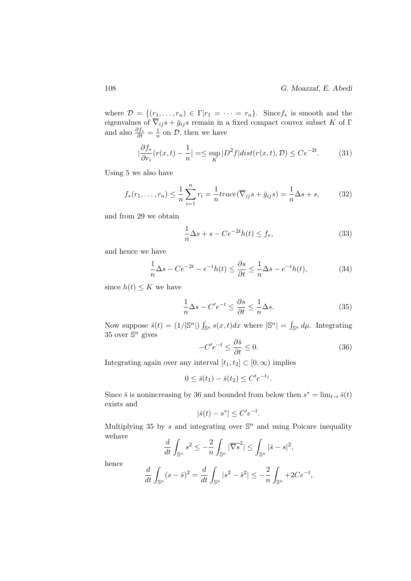where  $\mathcal{D} = \{(r_1, \ldots, r_n) \in \Gamma | r_1 = \cdots = r_n\}$ . Since  $f_*$  is smooth and the eigenvalues of  $\nabla_{ij}s + \bar{g}_{ij}s$  remain in a fixed compact convex subset K of  $\Gamma$ and also  $\frac{\partial f_*}{\partial t} = \frac{1}{n}$  $\frac{1}{n}$  on  $\mathcal{D}$ , then we have

$$
\left|\frac{\partial f_*}{\partial r_i}(r(x,t) - \frac{1}{n}\right| = \le \sup_K |D^2 f| \operatorname{dist}(r(x,t), \mathcal{D}) \le C e^{-2t}.\tag{31}
$$

Using 5 we also have

$$
f_*(r_1,\ldots,r_n) \le \frac{1}{n} \sum_{i=1}^n r_i = \frac{1}{n} trace(\overline{\nabla}_{ij} s + \overline{g}_{ij} s) = \frac{1}{n} \Delta s + s,
$$
 (32)

and from 29 we obtain

$$
\frac{1}{n}\Delta s + s - Ce^{-2t}h(t) \le f_*,\tag{33}
$$

and hence we have

$$
\frac{1}{n}\Delta s - Ce^{-2t} - e^{-t}h(t) \le \frac{\partial s}{\partial t} \le \frac{1}{n}\Delta s - e^{-t}h(t),\tag{34}
$$

since  $h(t) \leq K$  we have

$$
\frac{1}{n}\Delta s - C'e^{-t} \le \frac{\partial s}{\partial t} \le \frac{1}{n}\Delta s.
$$
\n(35)

Now suppose  $\bar{s}(t) = (1/|\mathbb{S}^n|) \int_{\mathbb{S}^n} s(x,t) dx$  where  $|\mathbb{S}^n| = \int_{\mathbb{S}^n} d\mu$ . Integrating 35 over  $\mathbb{S}^n$  gives

$$
-C'e^{-t} \le \frac{\partial \bar{s}}{\partial t} \le 0. \tag{36}
$$

Integrating again over any interval  $[t_1, t_2] \subset [0, \infty)$  implies

$$
0 \le \bar{s}(t_1) - \bar{s}(t_2) \le C' e^{-t_1}.
$$

Since  $\bar{s}$  is nonincreasing by 36 and bounded from below then  $s^* = \lim_{t \to \bar{s}}(t)$ exists and

$$
|\bar{s}(t) - s^*| \le C' e^{-t}.
$$

Multiplying 35 by s and integrating over  $\mathbb{S}^n$  and using Poicare inequality wehave

$$
\frac{d}{dt} \int_{\mathbb{S}^n} s^2 \le -\frac{2}{n} \int_{\mathbb{S}^n} |\overline{\nabla s}^2| \le \int_{\mathbb{S}^n} |\bar{s} - s|^2,
$$

hence

$$
\frac{d}{dt} \int_{\mathbb{S}^n} (s - \bar{s})^2 = \frac{d}{dt} \int_{\mathbb{S}^n} |s^2 - \bar{s}^2| \le -\frac{2}{n} \int_{\mathbb{S}^n} + 2Ce^{-t},
$$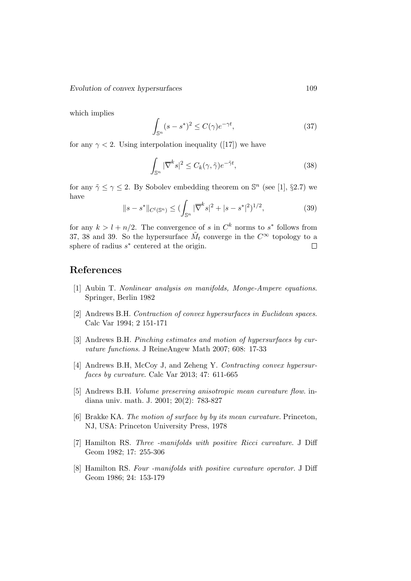which implies

$$
\int_{\mathbb{S}^n} (s - s^*)^2 \le C(\gamma) e^{-\gamma t},\tag{37}
$$

for any  $\gamma$  < 2. Using interpolation inequality ([17]) we have

$$
\int_{\mathbb{S}^n} |\overline{\nabla}^k s|^2 \le C_k(\gamma, \tilde{\gamma}) e^{-\tilde{\gamma} t},\tag{38}
$$

for any  $\tilde{\gamma} \leq \gamma \leq 2$ . By Sobolev embedding theorem on  $\mathbb{S}^n$  (see [1], §2.7) we have

$$
||s - s^*||_{C^l(\mathbb{S}^n)} \le (\int_{\mathbb{S}^n} |\overline{\nabla}^k s|^2 + |s - s^*|^2)^{1/2},
$$
\n(39)

for any  $k > l + n/2$ . The convergence of s in  $C<sup>k</sup>$  norms to s<sup>\*</sup> follows from 37, 38 and 39. So the hypersurface  $\tilde{M}_t$  converge in the  $C^{\infty}$  topology to a sphere of radius  $s^*$  centered at the origin.  $\Box$ 

# References

- [1] Aubin T. Nonlinear analysis on manifolds, Monge-Ampere equations. Springer, Berlin 1982
- [2] Andrews B.H. Contraction of convex hypersurfaces in Euclidean spaces. Calc Var 1994; 2 151-171
- [3] Andrews B.H. Pinching estimates and motion of hypersurfaces by curvature functions. J ReineAngew Math 2007; 608: 17-33
- [4] Andrews B.H, McCoy J, and Zeheng Y. Contracting convex hypersurfaces by curvature. Calc Var 2013; 47: 611-665
- [5] Andrews B.H. Volume preserving anisotropic mean curvature flow. indiana univ. math. J. 2001; 20(2): 783-827
- [6] Brakke KA. The motion of surface by by its mean curvature. Princeton, NJ, USA: Princeton University Press, 1978
- [7] Hamilton RS. Three -manifolds with positive Ricci curvature. J Diff Geom 1982; 17: 255-306
- [8] Hamilton RS. Four -manifolds with positive curvature operator. J Diff Geom 1986; 24: 153-179